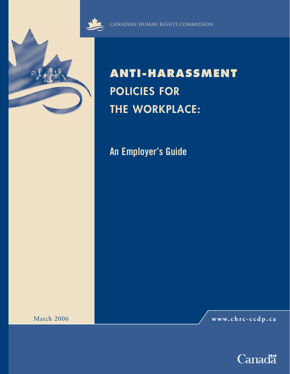

CANADIAN HUMAN RIGHTS COMMISSION

# **ANTI-HARASSMENT POLICIES FOR THE WORKPLACE:**

**An Employer's Guide**

March 2006 **www.chrc-ccdp.ca**

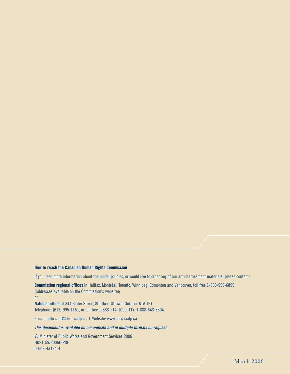#### **How to reach the Canadian Human Rights Commission**

If you need more information about the model policies, or would like to order any of our anti-harassment materials, please contact:

**Commission regional offices** in Halifax, Montréal, Toronto, Winnipeg, Edmonton and Vancouver, toll free 1-800-999-6899 (addresses available on the Commission's website);

or

**National office** at 344 Slater Street, 8th floor, Ottawa, Ontario K1A 1E1. Telephone: (613) 995-1151, or toll free 1-888-214-1090. TTY: 1-888-643-3304.

E-mail: info.com@chrc-ccdp.ca | Website: www.chrc-ccdp.ca

#### *This document is available on our website and in multiple formats on request.*

© Minister of Public Works and Government Services 2006 HR21-59/2006E-PDF 0-662-43194-4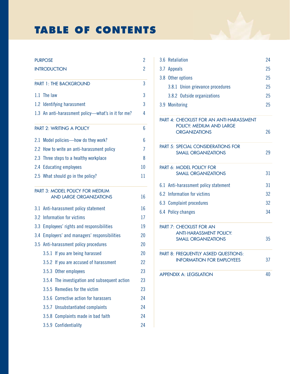# **TABLE OF CONTENTS**

| <b>PURPOSE</b>      |                                       |                                                                   | 2  |
|---------------------|---------------------------------------|-------------------------------------------------------------------|----|
| <b>INTRODUCTION</b> |                                       |                                                                   |    |
|                     |                                       | PART 1: THE BACKGROUND                                            | 3  |
|                     | 1.1 The law                           |                                                                   | 3  |
|                     |                                       | 1.2 Identifying harassment                                        | 3  |
|                     |                                       | 1.3 An anti-harassment policy—what's in it for me?                | 4  |
|                     |                                       | PART 2: WRITING A POLICY                                          | 6  |
|                     |                                       | 2.1 Model policies—how do they work?                              | 6  |
|                     |                                       | 2.2 How to write an anti-harassment policy                        | 7  |
|                     |                                       | 2.3 Three steps to a healthy workplace                            | 8  |
|                     |                                       | 2.4 Educating employees                                           | 10 |
|                     |                                       | 2.5 What should go in the policy?                                 | 11 |
|                     |                                       | PART 3: MODEL POLICY FOR MEDIUM<br><b>AND LARGE ORGANIZATIONS</b> | 16 |
|                     |                                       |                                                                   |    |
|                     |                                       | 3.1 Anti-harassment policy statement                              | 16 |
|                     |                                       | 3.2 Information for victims                                       |    |
|                     |                                       | 3.3 Employees' rights and responsibilities                        | 19 |
|                     |                                       | 3.4 Employers' and managers' responsibilities                     |    |
|                     | 3.5 Anti-harassment policy procedures |                                                                   | 20 |
|                     |                                       | 3.5.1 If you are being harassed                                   | 20 |
|                     |                                       | 3.5.2 If you are accused of harassment                            | 22 |
|                     |                                       | 3.5.3 Other employees                                             | 23 |
|                     | 3.5.4                                 | The investigation and subsequent action                           | 23 |
|                     |                                       | 3.5.5 Remedies for the victim                                     | 23 |
|                     |                                       | 3.5.6 Corrective action for harassers                             | 24 |
|                     |                                       | 3.5.7 Unsubstantiated complaints                                  | 24 |
|                     |                                       | 3.5.8 Complaints made in bad faith                                | 24 |
|                     |                                       | 3.5.9 Confidentiality                                             | 24 |

| 3.6 Retaliation                                                                |    |  |
|--------------------------------------------------------------------------------|----|--|
| 3.7 Appeals                                                                    |    |  |
| 3.8 Other options                                                              | 25 |  |
| 3.8.1 Union grievance procedures                                               | 25 |  |
| 3.8.2 Outside organizations                                                    | 25 |  |
| 3.9 Monitoring                                                                 | 25 |  |
| <b>PART 4: CHECKLIST FOR AN ANTI-HARASSMENT</b><br>POLICY: MEDIUM AND LARGE    |    |  |
| <b>ORGANIZATIONS</b>                                                           | 26 |  |
| <b>PART 5: SPECIAL CONSIDERATIONS FOR</b><br><b>SMALL ORGANIZATIONS</b>        | 29 |  |
| PART 6: MODEL POLICY FOR<br><b>SMALL ORGANIZATIONS</b>                         | 31 |  |
| 6.1 Anti-harassment policy statement                                           | 31 |  |
| 6.2 Information for victims                                                    |    |  |
| 6.3 Complaint procedures                                                       |    |  |
| 6.4 Policy changes                                                             | 34 |  |
| <b>PART 7: CHECKLIST FOR AN</b>                                                |    |  |
| <b>ANTI-HARASSMENT POLICY:</b><br><b>SMALL ORGANIZATIONS</b>                   | 35 |  |
| <b>PART 8: FREQUENTLY ASKED QUESTIONS:</b><br><b>INFORMATION FOR EMPLOYEES</b> | 37 |  |
| <b>APPENDIX A: LEGISLATION</b>                                                 | 40 |  |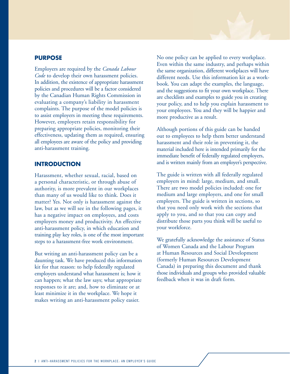#### **PURPOSE**

Employers are required by the *Canada Labour Code* to develop their own harassment policies. In addition, the existence of appropriate harassment policies and procedures will be a factor considered by the Canadian Human Rights Commission in evaluating a company's liability in harassment complaints. The purpose of the model policies is to assist employers in meeting these requirements. However, employers retain responsibility for preparing appropriate policies, monitoring their effectiveness, updating them as required, ensuring all employees are aware of the policy and providing anti-harassment training.

#### **INTRODUCTION**

Harassment, whether sexual, racial, based on a personal characteristic, or through abuse of authority, is more prevalent in our workplaces than many of us would like to think. Does it matter? Yes. Not only is harassment against the law, but as we will see in the following pages, it has a negative impact on employees, and costs employers money and productivity. An effective anti-harassment policy, in which education and training play key roles, is one of the most important steps to a harassment-free work environment.

But writing an anti-harassment policy can be a daunting task. We have produced this information kit for that reason: to help federally regulated employers understand what harassment is; how it can happen; what the law says; what appropriate responses to it are; and, how to eliminate or at least minimize it in the workplace. We hope it makes writing an anti-harassment policy easier.

No one policy can be applied to every workplace. Even within the same industry, and perhaps within the same organization, different workplaces will have different needs. Use this information kit as a workbook. You can adapt the examples, the language, and the suggestions to fit your own workplace. There are checklists and examples to guide you in creating your policy, and to help you explain harassment to your employees. You and they will be happier and more productive as a result.

Although portions of this guide can be handed out to employees to help them better understand harassment and their role in preventing it, the material included here is intended primarily for the immediate benefit of federally regulated employers, and is written mainly from an employer's perspective.

The guide is written with all federally regulated employers in mind: large, medium, and small. There are two model policies included: one for medium and large employers, and one for small employers. The guide is written in sections, so that you need only work with the sections that apply to you, and so that you can copy and distribute those parts you think will be useful to your workforce.

We gratefully acknowledge the assistance of Status of Women Canada and the Labour Program at Human Resources and Social Development (formerly Human Resources Development Canada) in preparing this document and thank those individuals and groups who provided valuable feedback when it was in draft form.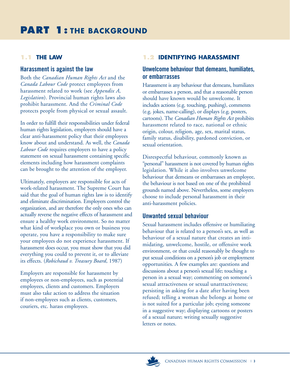## **1.1 THE LAW**

#### **Harassment is against the law**

Both the *Canadian Human Rights Act* and the *Canada Labour Code* protect employees from harassment related to work (see *Appendix A, Legislation*). Provincial human rights laws also prohibit harassment. And the *Criminal Code* protects people from physical or sexual assault.

In order to fulfill their responsibilities under federal human rights legislation, employers should have a clear anti-harassment policy that their employees know about and understand. As well, the *Canada Labour Code* requires employers to have a policy statement on sexual harassment containing specific elements including how harassment complaints can be brought to the attention of the employer.

Ultimately, employers are responsible for acts of work-related harassment. The Supreme Court has said that the goal of human rights law is to identify and eliminate discrimination. Employers control the organization, and are therefore the only ones who can actually reverse the negative effects of harassment and ensure a healthy work environment. So no matter what kind of workplace you own or business you operate, you have a responsibility to make sure your employees do not experience harassment. If harassment does occur, you must show that you did everything you could to prevent it, or to alleviate its effects. (*Robichaud v. Treasury Board*, 1987)

Employers are responsible for harassment by employees or non-employees, such as potential employees, clients and customers. Employers must also take action to address the situation if non-employees such as clients, customers, couriers, etc. harass employees.

# **1.2 IDENTIFYING HARASSMENT**

## **Unwelcome behaviour that demeans, humiliates, or embarrasses**

Harassment is any behaviour that demeans, humiliates or embarrasses a person, and that a reasonable person should have known would be unwelcome. It includes actions (e.g. touching, pushing), comments (e.g. jokes, name-calling), or displays (e.g. posters, cartoons). The *Canadian Human Rights Act* prohibits harassment related to race, national or ethnic origin, colour, religion, age, sex, marital status, family status, disability, pardoned conviction, or sexual orientation.

Disrespectful behaviour, commonly known as "personal" harassment is not covered by human rights legislation. While it also involves unwelcome behaviour that demeans or embarrasses an employee, the behaviour is not based on one of the prohibited grounds named above. Nevertheless, some employers choose to include personal harassment in their anti-harassment policies.

## **Unwanted sexual behaviour**

Sexual harassment includes offensive or humiliating behaviour that is related to a person's sex, as well as behaviour of a sexual nature that creates an intimidating, unwelcome, hostile, or offensive work environment, or that could reasonably be thought to put sexual conditions on a person's job or employment opportunities. A few examples are: questions and discussions about a person's sexual life; touching a person in a sexual way; commenting on someone's sexual attractiveness or sexual unattractiveness; persisting in asking for a date after having been refused; telling a woman she belongs at home or is not suited for a particular job; eyeing someone in a suggestive way; displaying cartoons or posters of a sexual nature; writing sexually suggestive letters or notes.

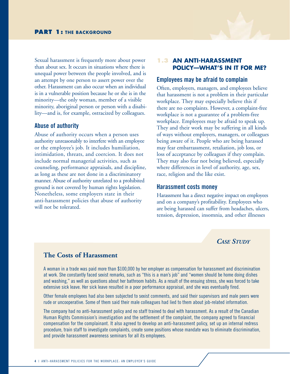Sexual harassment is frequently more about power than about sex. It occurs in situations where there is unequal power between the people involved, and is an attempt by one person to assert power over the other. Harassment can also occur when an individual is in a vulnerable position because he or she is in the minority—the only woman, member of a visible minority, aboriginal person or person with a disability—and is, for example, ostracized by colleagues.

#### **Abuse of authority**

Abuse of authority occurs when a person uses authority unreasonably to interfere with an employee or the employee's job. It includes humiliation, intimidation, threats, and coercion. It does not include normal managerial activities, such as counseling, performance appraisals, and discipline, as long as these are not done in a discriminatory manner. Abuse of authority unrelated to a prohibited ground is not covered by human rights legislation. Nonetheless, some employers state in their anti-harassment policies that abuse of authority will not be tolerated.

### **1.3 AN ANTI-HARASSMENT POLICY—WHAT'S IN IT FOR ME?**

#### **Employees may be afraid to complain**

Often, employers, managers, and employees believe that harassment is not a problem in their particular workplace. They may especially believe this if there are no complaints. However, a complaint-free workplace is not a guarantee of a problem-free workplace. Employees may be afraid to speak up. They and their work may be suffering in all kinds of ways without employers, managers, or colleagues being aware of it. People who are being harassed may fear embarrassment, retaliation, job loss, or loss of acceptance by colleagues if they complain. They may also fear not being believed, especially where differences in level of authority, age, sex, race, religion and the like exist.

#### **Harassment costs money**

Harassment has a direct negative impact on employees and on a company's profitability. Employees who are being harassed can suffer from headaches, ulcers, tension, depression, insomnia, and other illnesses

## *CASE STUDY*

### **The Costs of Harassment**

A woman in a trade was paid more than \$100,000 by her employer as compensation for harassment and discrimination at work. She constantly faced sexist remarks, such as "this is a man's job" and "women should be home doing dishes and washing," as well as questions about her bathroom habits. As a result of the ensuing stress, she was forced to take extensive sick leave. Her sick leave resulted in a poor performance appraisal, and she was eventually fired.

Other female employees had also been subjected to sexist comments, and said their supervisors and male peers were rude or uncooperative. Some of them said their male colleagues had lied to them about job-related information.

The company had no anti-harassment policy and no staff trained to deal with harassment. As a result of the Canadian Human Rights Commission's investigation and the settlement of the complaint, the company agreed to financial compensation for the complainant. It also agreed to develop an anti-harassment policy, set up an internal redress procedure, train staff to investigate complaints, create some positions whose mandate was to eliminate discrimination, and provide harassment awareness seminars for all its employees.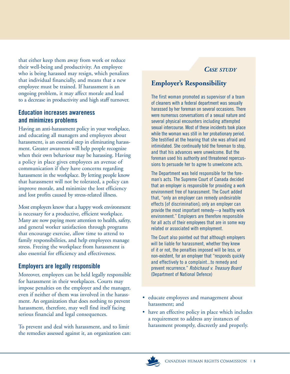that either keep them away from work or reduce their well-being and productivity. An employee who is being harassed may resign, which penalizes that individual financially, and means that a new employee must be trained. If harassment is an ongoing problem, it may affect morale and lead to a decrease in productivity and high staff turnover.

## **Education increases awareness and minimizes problems**

Having an anti-harassment policy in your workplace, and educating all managers and employees about harassment, is an essential step in eliminating harassment. Greater awareness will help people recognize when their own behaviour may be harassing. Having a policy in place gives employees an avenue of communication if they have concerns regarding harassment in the workplace. By letting people know that harassment will not be tolerated, a policy can improve morale, and minimize the lost efficiency and lost profits caused by stress-related illness.

Most employers know that a happy work environment is necessary for a productive, efficient workplace. Many are now paying more attention to health, safety, and general worker satisfaction through programs that encourage exercise, allow time to attend to family responsibilities, and help employees manage stress. Freeing the workplace from harassment is also essential for efficiency and effectiveness.

# **Employers are legally responsible**

Moreover, employers can be held legally responsible for harassment in their workplaces. Courts may impose penalties on the employer and the manager, even if neither of them was involved in the harassment. An organization that does nothing to prevent harassment, therefore, may well find itself facing serious financial and legal consequences.

To prevent and deal with harassment, and to limit the remedies assessed against it, an organization can:

# *CASE STUDY*

# **Employer's Responsibility**

The first woman promoted as supervisor of a team of cleaners with a federal department was sexually harassed by her foreman on several occasions. There were numerous conversations of a sexual nature and several physical encounters including attempted sexual intercourse. Most of these incidents took place while the woman was still in her probationary period. She testified at the hearing that she was afraid and intimidated. She continually told the foreman to stop, and that his advances were unwelcome. But the foreman used his authority and threatened repercussions to persuade her to agree to unwelcome acts.

The Department was held responsible for the foreman's acts. The Supreme Court of Canada decided that an employer is responsible for providing a work environment free of harassment. The Court added that, "only an employer can remedy undesirable effects [of discrimination]; only an employer can provide the most important remedy—a healthy work environment." Employers are therefore responsible for all acts of their employees that are in some way related or associated with employment.

The Court also pointed out that although employers will be liable for harassment, whether they knew of it or not, the penalties imposed will be less, or non-existent, for an employer that "responds quickly and effectively to a complaint...to remedy and prevent recurrence." *Robichaud v. Treasury Board* (Department of National Defence)

- educate employees and management about harassment; and
- have an effective policy in place which includes a requirement to address any instances of harassment promptly, discreetly and properly.

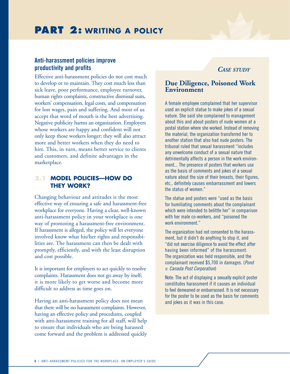#### **Anti-harassment policies improve productivity and profits**

Effective anti-harassment policies do not cost much to develop or to maintain. They cost much less than sick leave, poor performance, employee turnover, human rights complaints, constructive dismissal suits, workers' compensation, legal costs, and compensation for lost wages, pain and suffering. And most of us accept that word of mouth is the best advertising. Negative publicity harms an organization. Employers whose workers are happy and confident will not only keep those workers longer; they will also attract more and better workers when they do need to hire. This, in turn, means better service to clients and customers, and definite advantages in the marketplace.

#### **2.1 MODEL POLICIES—HOW DO THEY WORK?**

Changing behaviour and attitudes is the most effective way of ensuring a safe and harassment-free workplace for everyone. Having a clear, well-known anti-harassment policy in your workplace is one way of promoting a harassment-free environment. If harassment is alleged, the policy will let everyone involved know what his/her rights and responsibilities are. The harassment can then be dealt with promptly, efficiently, and with the least disruption and cost possible.

It is important for employers to act quickly to resolve complaints. Harassment does not go away by itself; it is more likely to get worse and become more difficult to address as time goes on.

Having an anti-harassment policy does not mean that there will be no harassment complaints. However, having an effective policy and procedures, coupled with anti-harassment training for all staff, will help to ensure that individuals who are being harassed come forward and the problem is addressed quickly

## *CASE STUDY*

## **Due Diligence, Poisoned Work Environment**

A female employee complained that her supervisor used an explicit statue to make jokes of a sexual nature. She said she complained to management about this and about posters of nude women at a postal station where she worked. Instead of removing the material, the organization transferred her to another station that also had nude posters. The tribunal ruled that sexual harassment "includes any unwelcome conduct of a sexual nature that detrimentally affects a person in the work environment... The presence of posters that workers use as the basis of comments and jokes of a sexual nature about the size of their breasts, their figures, etc., definitely causes embarrassment and lowers the status of women."

The statue and posters were "used as the basis for humiliating comments about the complainant which were intended to belittle her" in comparison with her male co-workers, and "poisoned the work environment."

The organization had not consented to the harassment, but it didn't do anything to stop it, and "did not exercise diligence to avoid the effect after having been informed" of the harassment. The organization was held responsible, and the complainant received \$5,700 in damages. (*Pond v. Canada Post Corporation*)

Note: The act of displaying a sexually explicit poster constitutes harassment if it causes an individual to feel demeaned or embarrassed. It is not necessary for the poster to be used as the basis for comments and jokes as it was in this case.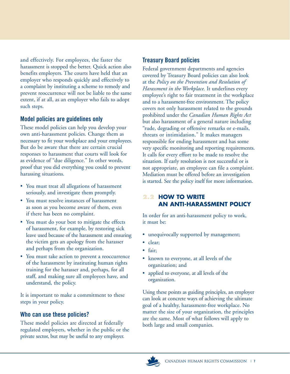and effectively. For employees, the faster the harassment is stopped the better. Quick action also benefits employers. The courts have held that an employer who responds quickly and effectively to a complaint by instituting a scheme to remedy and prevent reoccurrence will not be liable to the same extent, if at all, as an employer who fails to adopt such steps.

# **Model policies are guidelines only**

These model policies can help you develop your own anti-harassment policies. Change them as necessary to fit your workplace and your employees. But do be aware that there are certain crucial responses to harassment that courts will look for as evidence of "due diligence." In other words, proof that you did everything you could to prevent harassing situations.

- You must treat all allegations of harassment seriously, and investigate them promptly.
- You must resolve instances of harassment as soon as you become aware of them, even if there has been no complaint.
- You must do your best to mitigate the effects of harassment, for example, by restoring sick leave used because of the harassment and ensuring the victim gets an apology from the harasser and perhaps from the organization.
- You must take action to prevent a reoccurrence of the harassment by instituting human rights training for the harasser and, perhaps, for all staff, and making sure all employees have, and understand, the policy.

It is important to make a commitment to these steps in your policy.

## **Who can use these policies?**

These model policies are directed at federally regulated employers, whether in the public or the private sector, but may be useful to any employer.

# **Treasury Board policies**

Federal government departments and agencies covered by Treasury Board policies can also look at the *Policy on the Prevention and Resolution of Harassment in the Workplace.* It underlines every employee's right to fair treatment in the workplace and to a harassment-free environment. The policy covers not only harassment related to the grounds prohibited under the *Canadian Human Rights Act* but also harassment of a general nature including "rude, degrading or offensive remarks or e-mails, threats or intimidation." It makes managers responsible for ending harassment and has some very specific monitoring and reporting requirements. It calls for every effort to be made to resolve the situation. If early resolution is not successful or is not appropriate, an employee can file a complaint. Mediation must be offered before an investigation is started. See the policy itself for more information.

# **2.2 HOW TO WRITE AN ANTI-HARASSMENT POLICY**

In order for an anti-harassment policy to work, it must be:

- unequivocally supported by management;
- clear;
- fair;
- known to everyone, at all levels of the organization; and
- applied to everyone, at all levels of the organization.

Using these points as guiding principles, an employer can look at concrete ways of achieving the ultimate goal of a healthy, harassment-free workplace. No matter the size of your organization, the principles are the same. Most of what follows will apply to both large and small companies.

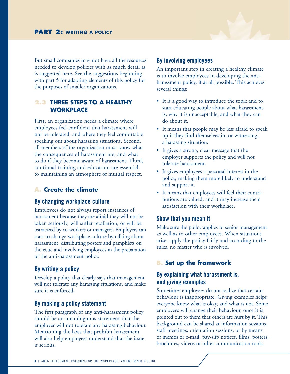

But small companies may not have all the resources needed to develop policies with as much detail as is suggested here. See the suggestions beginning with part 5 for adapting elements of this policy for the purposes of smaller organizations.

## **2.3 THREE STEPS TO A HEALTHY WORKPLACE**

First, an organization needs a climate where employees feel confident that harassment will not be tolerated, and where they feel comfortable speaking out about harassing situations. Second, all members of the organization must know what the consequences of harassment are, and what to do if they become aware of harassment. Third, continual training and education are essential to maintaining an atmosphere of mutual respect.

## **A. Create the climate**

### **By changing workplace culture**

Employees do not always report instances of harassment because they are afraid they will not be taken seriously, will suffer retaliation, or will be ostracized by co-workers or managers. Employers can start to change workplace culture by talking about harassment, distributing posters and pamphlets on the issue and involving employees in the preparation of the anti-harassment policy.

# **By writing a policy**

Develop a policy that clearly says that management will not tolerate any harassing situations, and make sure it is enforced.

## **By making a policy statement**

The first paragraph of any anti-harassment policy should be an unambiguous statement that the employer will not tolerate any harassing behaviour. Mentioning the laws that prohibit harassment will also help employees understand that the issue is serious.

## **By involving employees**

An important step in creating a healthy climate is to involve employees in developing the antiharassment policy, if at all possible. This achieves several things:

- It is a good way to introduce the topic and to start educating people about what harassment is, why it is unacceptable, and what they can do about it.
- It means that people may be less afraid to speak up if they find themselves in, or witnessing, a harassing situation.
- It gives a strong, clear message that the employer supports the policy and will not tolerate harassment.
- It gives employees a personal interest in the policy, making them more likely to understand and support it.
- It means that employees will feel their contributions are valued, and it may increase their satisfaction with their workplace.

## **Show that you mean it**

Make sure the policy applies to senior management as well as to other employees. When situations arise, apply the policy fairly and according to the rules, no matter who is involved.

# **B. Set up the framework**

# **By explaining what harassment is, and giving examples**

Sometimes employees do not realize that certain behaviour is inappropriate. Giving examples helps everyone know what is okay, and what is not. Some employees will change their behaviour, once it is pointed out to them that others are hurt by it. This background can be shared at information sessions, staff meetings, orientation sessions, or by means of memos or e-mail, pay-slip notices, films, posters, brochures, videos or other communication tools.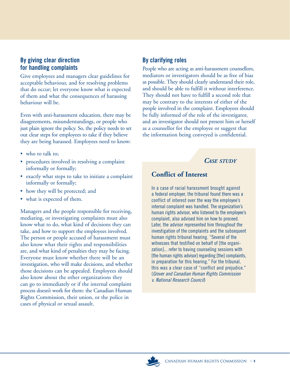# **By giving clear direction for handling complaints**

Give employees and managers clear guidelines for acceptable behaviour, and for resolving problems that do occur; let everyone know what is expected of them and what the consequences of harassing behaviour will be.

Even with anti-harassment education, there may be disagreements, misunderstandings, or people who just plain ignore the policy. So, the policy needs to set out clear steps for employees to take if they believe they are being harassed. Employees need to know:

- who to talk to:
- procedures involved in resolving a complaint informally or formally;
- exactly what steps to take to initiate a complaint informally or formally;
- how they will be protected; and
- what is expected of them.

Managers and the people responsible for receiving, mediating, or investigating complaints must also know what to do, what kind of decisions they can take, and how to support the employees involved. The person or people accused of harassment must also know what their rights and responsibilities are, and what kind of penalties they may be facing. Everyone must know whether there will be an investigation, who will make decisions, and whether those decisions can be appealed. Employees should also know about the other organizations they can go to immediately or if the internal complaint process doesn't work for them: the Canadian Human Rights Commission, their union, or the police in cases of physical or sexual assault.

# **By clarifying roles**

People who are acting as anti-harassment counsellors, mediators or investigators should be as free of bias as possible. They should clearly understand their role, and should be able to fulfill it without interference. They should not have to fulfill a second role that may be contrary to the interests of either of the people involved in the complaint. Employees should be fully informed of the role of the investigator, and an investigator should not present him or herself as a counsellor for the employee or suggest that the information being conveyed is confidential.

# *CASE STUDY*

# **Conflict of Interest**

In a case of racial harassment brought against a federal employer, the tribunal found there was a conflict of interest over the way the employee's internal complaint was handled. The organization's human rights advisor, who listened to the employee's complaint, also advised him on how to proceed. Later, the advisor represented him throughout the investigation of the complaints and the subsequent human rights tribunal hearing. "Several of the witnesses that testified on behalf of [the organization]... refer to having counseling sessions with [the human rights advisor] regarding [the] complaints, in preparation for this hearing." For the tribunal, this was a clear case of "conflict and prejudice." (*Grover and Canadian Human Rights Commission v. National Research Council*)

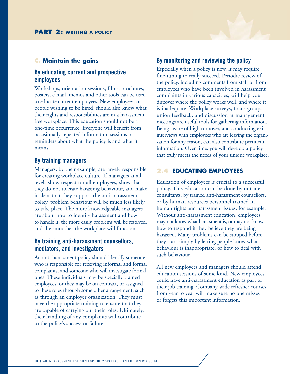#### **C. Maintain the gains**

#### **By educating current and prospective employees**

Workshops, orientation sessions, films, brochures, posters, e-mail, memos and other tools can be used to educate current employees. New employees, or people wishing to be hired, should also know what their rights and responsibilities are in a harassmentfree workplace. This education should not be a one-time occurrence. Everyone will benefit from occasionally repeated information sessions or reminders about what the policy is and what it means.

#### **By training managers**

Managers, by their example, are largely responsible for creating workplace culture. If managers at all levels show respect for all employees, show that they do not tolerate harassing behaviour, and make it clear that they support the anti-harassment policy, problem behaviour will be much less likely to take place. The more knowledgeable managers are about how to identify harassment and how to handle it, the more easily problems will be resolved, and the smoother the workplace will function.

#### **By training anti-harassment counsellors, mediators, and investigators**

An anti-harassment policy should identify someone who is responsible for receiving informal and formal complaints, and someone who will investigate formal ones. These individuals may be specially trained employees, or they may be on contract, or assigned to these roles through some other arrangement, such as through an employer organization. They must have the appropriate training to ensure that they are capable of carrying out their roles. Ultimately, their handling of any complaints will contribute to the policy's success or failure.

#### **By monitoring and reviewing the policy**

Especially when a policy is new, it may require fine-tuning to really succeed. Periodic review of the policy, including comments from staff or from employees who have been involved in harassment complaints in various capacities, will help you discover where the policy works well, and where it is inadequate. Workplace surveys, focus groups, union feedback, and discussion at management meetings are useful tools for gathering information. Being aware of high turnover, and conducting exit interviews with employees who are leaving the organization for any reason, can also contribute pertinent information. Over time, you will develop a policy that truly meets the needs of your unique workplace.

#### **2.4 EDUCATING EMPLOYEES**

Education of employees is crucial to a successful policy. This education can be done by outside consultants, by trained anti-harassment counsellors, or by human resources personnel trained in human rights and harassment issues, for example. Without anti-harassment education, employees may not know what harassment is, or may not know how to respond if they believe they are being harassed. Many problems can be stopped before they start simply by letting people know what behaviour is inappropriate, or how to deal with such behaviour.

All new employees and managers should attend education sessions of some kind. New employees could have anti-harassment education as part of their job training. Company-wide refresher courses from year to year will make sure no one misses or forgets this important information.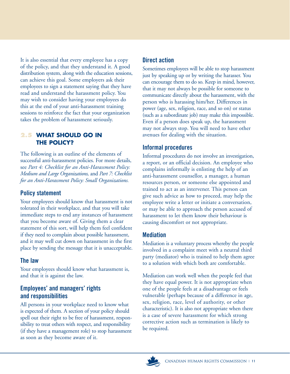It is also essential that every employee has a copy of the policy, and that they understand it. A good distribution system, along with the education sessions, can achieve this goal. Some employers ask their employees to sign a statement saying that they have read and understand the harassment policy. You may wish to consider having your employees do this at the end of your anti-harassment training sessions to reinforce the fact that your organization takes the problem of harassment seriously.

## **2.5 WHAT SHOULD GO IN THE POLICY?**

The following is an outline of the elements of successful anti-harassment policies. For more details, see *Part 4: Checklist for an Anti-Harassment Policy: Medium and Large Organizations,* and *Part 7: Checklist for an Anti-Harassment Policy: Small Organizations.* 

# **Policy statement**

Your employees should know that harassment is not tolerated in their workplace, and that you will take immediate steps to end any instances of harassment that you become aware of. Giving them a clear statement of this sort, will help them feel confident if they need to complain about possible harassment, and it may well cut down on harassment in the first place by sending the message that it is unacceptable.

# **The law**

Your employees should know what harassment is, and that it is against the law.

# **Employees' and managers' rights and responsibilities**

All persons in your workplace need to know what is expected of them. A section of your policy should spell out their right to be free of harassment, responsibility to treat others with respect, and responsibility (if they have a management role) to stop harassment as soon as they become aware of it.

# **Direct action**

Sometimes employees will be able to stop harassment just by speaking up or by writing the harasser. You can encourage them to do so. Keep in mind, however, that it may not always be possible for someone to communicate directly about the harassment, with the person who is harassing him/her. Differences in power (age, sex, religion, race, and so on) or status (such as a subordinate job) may make this impossible. Even if a person does speak up, the harassment may not always stop. You will need to have other avenues for dealing with the situation.

# **Informal procedures**

Informal procedures do not involve an investigation, a report, or an official decision. An employee who complains informally is enlisting the help of an anti-harassment counsellor, a manager, a human resources person, or someone else appointed and trained to act as an intervener. This person can give such advice as how to proceed, may help the employee write a letter or initiate a conversation, or may be able to approach the person accused of harassment to let them know their behaviour is causing discomfort or not appropriate.

## **Mediation**

Mediation is a voluntary process whereby the people involved in a complaint meet with a neutral third party (mediator) who is trained to help them agree to a solution with which both are comfortable.

Mediation can work well when the people feel that they have equal power. It is not appropriate when one of the people feels at a disadvantage or feels vulnerable (perhaps because of a difference in age, sex, religion, race, level of authority, or other characteristic). It is also not appropriate when there is a case of severe harassment for which strong corrective action such as termination is likely to be required.

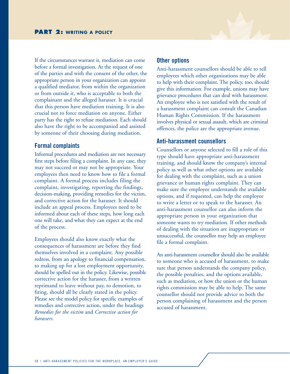

If the circumstances warrant it, mediation can come before a formal investigation. At the request of one of the parties and with the consent of the other, the appropriate person in your organization can appoint a qualified mediator, from within the organization or from outside it, who is acceptable to both the complainant and the alleged harasser. It is crucial that this person have mediation training. It is also crucial not to force mediation on anyone. Either party has the right to refuse mediation. Each should also have the right to be accompanied and assisted by someone of their choosing during mediation.

#### **Formal complaints**

Informal procedures and mediation are not necessary first steps before filing a complaint. In any case, they may not succeed or may not be appropriate. Your employees then need to know how to file a formal complaint. A formal process includes filing the complaint, investigating, reporting the findings, decision-making, providing remedies for the victim, and corrective action for the harasser. It should include an appeal process. Employees need to be informed about each of these steps, how long each one will take, and what they can expect at the end of the process.

Employees should also know exactly what the consequences of harassment are before they find themselves involved in a complaint. Any possible redress, from an apology to financial compensation, to making up for a lost employment opportunity, should be spelled out in the policy. Likewise, possible corrective action for the harasser, from a written reprimand to leave without pay, to demotion, to firing, should all be clearly stated in the policy. Please see the model policy for specific examples of remedies and corrective action, under the headings *Remedies for the victim* and *Corrective action for harassers.* 

#### **Other options**

Anti-harassment counsellors should be able to tell employees which other organizations may be able to help with their complaint. The policy, too, should give this information. For example, unions may have grievance procedures that can deal with harassment. An employee who is not satisfied with the result of a harassment complaint can consult the Canadian Human Rights Commission. If the harassment involves physical or sexual assault, which are criminal offences, the police are the appropriate avenue.

#### **Anti-harassment counsellors**

Counsellors or anyone selected to fill a role of this type should have appropriate anti-harassment training, and should know the company's internal policy as well as what other options are available for dealing with the complaint, such as a union grievance or human rights complaint. They can make sure the employee understands the available options, and if requested, can help the employee to write a letter or to speak to the harasser. An anti-harassment counsellor can also inform the appropriate person in your organization that someone wants to try mediation. If other methods of dealing with the situation are inappropriate or unsuccessful, the counsellor may help an employee file a formal complaint.

An anti-harassment counsellor should also be available to someone who is accused of harassment, to make sure that person understands the company policy, the possible penalties, and the options available, such as mediation, or how the union or the human rights commission may be able to help. The same counsellor should not provide advice to both the person complaining of harassment and the person accused of harassment.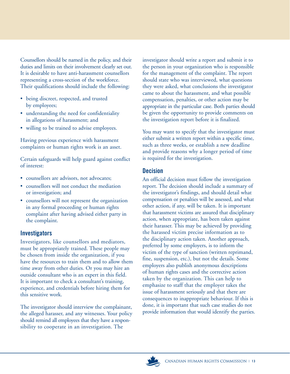Counsellors should be named in the policy, and their duties and limits on their involvement clearly set out. It is desirable to have anti-harassment counsellors representing a cross-section of the workforce. Their qualifications should include the following:

- being discreet, respected, and trusted by employees;
- understanding the need for confidentiality in allegations of harassment; and
- willing to be trained to advise employees.

Having previous experience with harassment complaints or human rights work is an asset.

Certain safeguards will help guard against conflict of interest:

- counsellors are advisors, not advocates;
- counsellors will not conduct the mediation or investigation; and
- counsellors will not represent the organization in any formal proceeding or human rights complaint after having advised either party in the complaint.

# **Investigators**

Investigators, like counsellors and mediators, must be appropriately trained. These people may be chosen from inside the organization, if you have the resources to train them and to allow them time away from other duties. Or you may hire an outside consultant who is an expert in this field. It is important to check a consultant's training, experience, and credentials before hiring them for this sensitive work.

The investigator should interview the complainant, the alleged harasser, and any witnesses. Your policy should remind all employees that they have a responsibility to cooperate in an investigation. The

investigator should write a report and submit it to the person in your organization who is responsible for the management of the complaint. The report should state who was interviewed, what questions they were asked, what conclusions the investigator came to about the harassment, and what possible compensation, penalties, or other action may be appropriate in the particular case. Both parties should be given the opportunity to provide comments on the investigation report before it is finalized.

You may want to specify that the investigator must either submit a written report within a specific time, such as three weeks, or establish a new deadline and provide reasons why a longer period of time is required for the investigation.

## **Decision**

An official decision must follow the investigation report. The decision should include a summary of the investigator's findings, and should detail what compensation or penalties will be assessed, and what other action, if any, will be taken. It is important that harassment victims are assured that disciplinary action, when appropriate, has been taken against their harasser. This may be achieved by providing the harassed victim precise information as to the disciplinary action taken. Another approach, preferred by some employers, is to inform the victim of the type of sanction (written reprimand, fine, suspension, etc.), but not the details. Some employers also publish anonymous descriptions of human rights cases and the corrective action taken by the organization. This can help to emphasize to staff that the employer takes the issue of harassment seriously and that there are consequences to inappropriate behaviour. If this is done, it is important that such case studies do not provide information that would identify the parties.

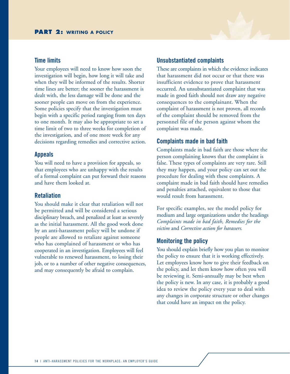#### **Time limits**

Your employees will need to know how soon the investigation will begin, how long it will take and when they will be informed of the results. Shorter time lines are better; the sooner the harassment is dealt with, the less damage will be done and the sooner people can move on from the experience. Some policies specify that the investigation must begin with a specific period ranging from ten days to one month. It may also be appropriate to set a time limit of two to three weeks for completion of the investigation, and of one more week for any decisions regarding remedies and corrective action.

#### **Appeals**

You will need to have a provision for appeals, so that employees who are unhappy with the results of a formal complaint can put forward their reasons and have them looked at.

#### **Retaliation**

You should make it clear that retaliation will not be permitted and will be considered a serious disciplinary breach, and penalized at least as severely as the initial harassment. All the good work done by an anti-harassment policy will be undone if people are allowed to retaliate against someone who has complained of harassment or who has cooperated in an investigation. Employees will feel vulnerable to renewed harassment, to losing their job, or to a number of other negative consequences, and may consequently be afraid to complain.

#### **Unsubstantiated complaints**

These are complaints in which the evidence indicates that harassment did not occur or that there was insufficient evidence to prove that harassment occurred. An unsubstantiated complaint that was made in good faith should not draw any negative consequences to the complainant. When the complaint of harassment is not proven, all records of the complaint should be removed from the personnel file of the person against whom the complaint was made.

#### **Complaints made in bad faith**

Complaints made in bad faith are those where the person complaining knows that the complaint is false. These types of complaints are very rare. Still they may happen, and your policy can set out the procedure for dealing with these complaints. A complaint made in bad faith should have remedies and penalties attached, equivalent to those that would result from harassment.

For specific examples, see the model policy for medium and large organizations under the headings *Complaints made in bad faith, Remedies for the victim* and *Corrective action for harassers.*

#### **Monitoring the policy**

You should explain briefly how you plan to monitor the policy to ensure that it is working effectively. Let employees know how to give their feedback on the policy, and let them know how often you will be reviewing it. Semi-annually may be best when the policy is new. In any case, it is probably a good idea to review the policy every year to deal with any changes in corporate structure or other changes that could have an impact on the policy.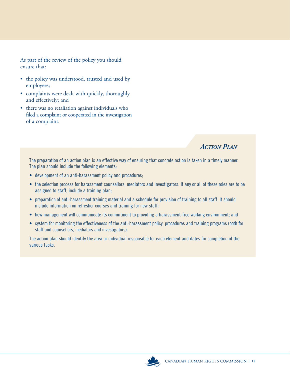As part of the review of the policy you should ensure that:

- the policy was understood, trusted and used by employees;
- complaints were dealt with quickly, thoroughly and effectively; and
- there was no retaliation against individuals who filed a complaint or cooperated in the investigation of a complaint.

# *ACTION PLAN*

The preparation of an action plan is an effective way of ensuring that concrete action is taken in a timely manner. The plan should include the following elements:

- development of an anti-harassment policy and procedures;
- the selection process for harassment counsellors, mediators and investigators. If any or all of these roles are to be assigned to staff, include a training plan;
- preparation of anti-harassment training material and a schedule for provision of training to all staff. It should include information on refresher courses and training for new staff;
- how management will communicate its commitment to providing a harassment-free working environment; and
- system for monitoring the effectiveness of the anti-harassment policy, procedures and training programs (both for staff and counsellors, mediators and investigators).

The action plan should identify the area or individual responsible for each element and dates for completion of the various tasks.

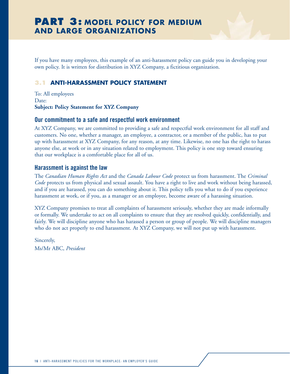# **PART 3: MODEL POLICY FOR MEDIUM AND LARGE ORGANIZATIONS**

If you have many employees, this example of an anti-harassment policy can guide you in developing your own policy. It is written for distribution in XYZ Company, a fictitious organization.

## **3.1 ANTI-HARASSMENT POLICY STATEMENT**

To: All employees Date: **Subject: Policy Statement for XYZ Company** 

#### **Our commitment to a safe and respectful work environment**

At XYZ Company, we are committed to providing a safe and respectful work environment for all staff and customers. No one, whether a manager, an employee, a contractor, or a member of the public, has to put up with harassment at XYZ Company, for any reason, at any time. Likewise, no one has the right to harass anyone else, at work or in any situation related to employment. This policy is one step toward ensuring that our workplace is a comfortable place for all of us.

#### **Harassment is against the law**

The *Canadian Human Rights Act* and the *Canada Labour Code* protect us from harassment. The *Criminal Code* protects us from physical and sexual assault. You have a right to live and work without being harassed, and if you are harassed, you can do something about it. This policy tells you what to do if you experience harassment at work, or if you, as a manager or an employee, become aware of a harassing situation.

XYZ Company promises to treat all complaints of harassment seriously, whether they are made informally or formally. We undertake to act on all complaints to ensure that they are resolved quickly, confidentially, and fairly. We will discipline anyone who has harassed a person or group of people. We will discipline managers who do not act properly to end harassment. At XYZ Company, we will not put up with harassment.

Sincerely, Ms/Mr ABC, *President*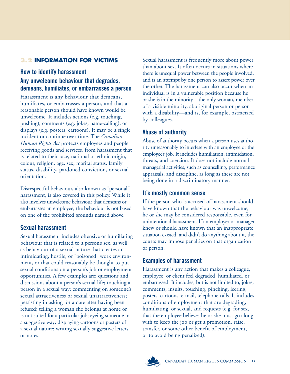# **3.2 INFORMATION FOR VICTIMS**

## **How to identify harassment**

# **Any unwelcome behaviour that degrades, demeans, humiliates, or embarrasses a person**

Harassment is any behaviour that demeans, humiliates, or embarrasses a person, and that a reasonable person should have known would be unwelcome. It includes actions (e.g. touching, pushing), comments (e.g. jokes, name-calling), or displays (e.g. posters, cartoons). It may be a single incident or continue over time. The *Canadian Human Rights Act* protects employees and people receiving goods and services, from harassment that is related to their race, national or ethnic origin, colour, religion, age, sex, marital status, family status, disability, pardoned conviction, or sexual orientation.

Disrespectful behaviour, also known as "personal" harassment, is also covered in this policy. While it also involves unwelcome behaviour that demeans or embarrasses an employee, the behaviour is not based on one of the prohibited grounds named above.

## **Sexual harassment**

Sexual harassment includes offensive or humiliating behaviour that is related to a person's sex, as well as behaviour of a sexual nature that creates an intimidating, hostile, or "poisoned" work environment, or that could reasonably be thought to put sexual conditions on a person's job or employment opportunities. A few examples are: questions and discussions about a person's sexual life; touching a person in a sexual way; commenting on someone's sexual attractiveness or sexual unattractiveness; persisting in asking for a date after having been refused; telling a woman she belongs at home or is not suited for a particular job; eyeing someone in a suggestive way; displaying cartoons or posters of a sexual nature; writing sexually suggestive letters or notes.

Sexual harassment is frequently more about power than about sex. It often occurs in situations where there is unequal power between the people involved, and is an attempt by one person to assert power over the other. The harassment can also occur when an individual is in a vulnerable position because he or she is in the minority—the only woman, member of a visible minority, aboriginal person or person with a disability—and is, for example, ostracized by colleagues.

# **Abuse of authority**

Abuse of authority occurs when a person uses authority unreasonably to interfere with an employee or the employee's job. It includes humiliation, intimidation, threats, and coercion. It does not include normal managerial activities, such as counselling, performance appraisals, and discipline, as long as these are not being done in a discriminatory manner.

## **It's mostly common sense**

If the person who is accused of harassment should have known that the behaviour was unwelcome, he or she may be considered responsible, even for unintentional harassment. If an employer or manager knew or should have known that an inappropriate situation existed, and didn't do anything about it, the courts may impose penalties on that organization or person.

# **Examples of harassment**

Harassment is any action that makes a colleague, employee, or client feel degraded, humiliated, or embarrassed. It includes, but is not limited to, jokes, comments, insults, touching, pinching, leering, posters, cartoons, e-mail, telephone calls. It includes conditions of employment that are degrading, humiliating, or sexual, and requests (e.g. for sex, that the employee believes he or she must go along with to keep the job or get a promotion, raise, transfer, or some other benefit of employment, or to avoid being penalized).

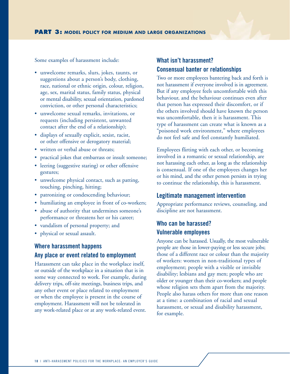Some examples of harassment include:

- unwelcome remarks, slurs, jokes, taunts, or suggestions about a person's body, clothing, race, national or ethnic origin, colour, religion, age, sex, marital status, family status, physical or mental disability, sexual orientation, pardoned conviction, or other personal characteristics;
- unwelcome sexual remarks, invitations, or requests (including persistent, unwanted contact after the end of a relationship);
- displays of sexually explicit, sexist, racist, or other offensive or derogatory material;
- written or verbal abuse or threats:
- practical jokes that embarrass or insult someone;
- leering (suggestive staring) or other offensive gestures;
- unwelcome physical contact, such as patting, touching, pinching, hitting;
- patronizing or condescending behaviour;
- humiliating an employee in front of co-workers;
- abuse of authority that undermines someone's performance or threatens her or his career;
- vandalism of personal property; and
- physical or sexual assault.

# **Where harassment happens Any place or event related to employment**

Harassment can take place in the workplace itself, or outside of the workplace in a situation that is in some way connected to work. For example, during delivery trips, off-site meetings, business trips, and any other event or place related to employment or when the employee is present in the course of employment. Harassment will not be tolerated in any work-related place or at any work-related event.

# **What isn't harassment? Consensual banter or relationships**

Two or more employees bantering back and forth is not harassment if everyone involved is in agreement. But if any employee feels uncomfortable with this behaviour, and the behaviour continues even after that person has expressed their discomfort, or if the others involved should have known the person was uncomfortable, then it is harassment. This type of harassment can create what is known as a "poisoned work environment," where employees do not feel safe and feel constantly humiliated.

Employees flirting with each other, or becoming involved in a romantic or sexual relationship, are not harassing each other, as long as the relationship is consensual. If one of the employees changes her or his mind, and the other person persists in trying to continue the relationship, this is harassment.

#### **Legitimate management intervention**

Appropriate performance reviews, counseling, and discipline are not harassment.

# **Who can be harassed? Vulnerable employees**

Anyone can be harassed. Usually, the most vulnerable people are those in lower-paying or less secure jobs; those of a different race or colour than the majority of workers: women in non-traditional types of employment; people with a visible or invisible disability; lesbians and gay men; people who are older or younger than their co-workers; and people whose religion sets them apart from the majority. People also harass others for more than one reason at a time: a combination of racial and sexual harassment, or sexual and disability harassment, for example.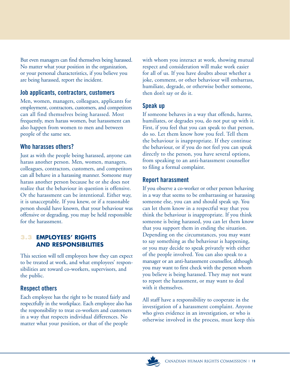But even managers can find themselves being harassed. No matter what your position in the organization, or your personal characteristics, if you believe you are being harassed, report the incident.

## **Job applicants, contractors, customers**

Men, women, managers, colleagues, applicants for employment, contractors, customers, and competitors can all find themselves being harassed. Most frequently, men harass women, but harassment can also happen from women to men and between people of the same sex.

# **Who harasses others?**

Just as with the people being harassed, anyone can harass another person. Men, women, managers, colleagues, contractors, customers, and competitors can all behave in a harassing manner. Someone may harass another person because he or she does not realize that the behaviour in question is offensive. Or the harassment can be intentional. Either way, it is unacceptable. If you knew, or if a reasonable person should have known, that your behaviour was offensive or degrading, you may be held responsible for the harassment.

## **3.3 EMPLOYEES' RIGHTS AND RESPONSIBILITIES**

This section will tell employees how they can expect to be treated at work, and what employees' responsibilities are toward co-workers, supervisors, and the public.

# **Respect others**

Each employee has the right to be treated fairly and respectfully in the workplace. Each employee also has the responsibility to treat co-workers and customers in a way that respects individual differences. No matter what your position, or that of the people

with whom you interact at work, showing mutual respect and consideration will make work easier for all of us. If you have doubts about whether a joke, comment, or other behaviour will embarrass, humiliate, degrade, or otherwise bother someone, then don't say or do it.

# **Speak up**

If someone behaves in a way that offends, harms, humiliates, or degrades you, do not put up with it. First, if you feel that you can speak to that person, do so. Let them know how you feel. Tell them the behaviour is inappropriate. If they continue the behaviour, or if you do not feel you can speak directly to the person, you have several options, from speaking to an anti-harassment counsellor to filing a formal complaint.

# **Report harassment**

If you observe a co-worker or other person behaving in a way that seems to be embarrassing or harassing someone else, you can and should speak up. You can let them know in a respectful way that you think the behaviour is inappropriate. If you think someone is being harassed, you can let them know that you support them in ending the situation. Depending on the circumstances, you may want to say something as the behaviour is happening, or you may decide to speak privately with either of the people involved. You can also speak to a manager or an anti-harassment counsellor, although you may want to first check with the person whom you believe is being harassed. They may not want to report the harassment, or may want to deal with it themselves.

All staff have a responsibility to cooperate in the investigation of a harassment complaint. Anyone who gives evidence in an investigation, or who is otherwise involved in the process, must keep this

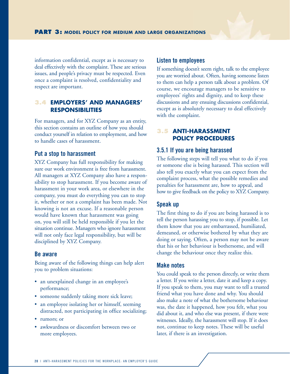information confidential, except as is necessary to deal effectively with the complaint. These are serious issues, and people's privacy must be respected. Even once a complaint is resolved, confidentiality and respect are important.

#### **3.4 EMPLOYERS' AND MANAGERS' RESPONSIBILITIES**

For managers, and for XYZ Company as an entity, this section contains an outline of how you should conduct yourself in relation to employment, and how to handle cases of harassment.

#### **Put a stop to harassment**

XYZ Company has full responsibility for making sure our work environment is free from harassment. All managers at XYZ Company also have a responsibility to stop harassment. If you become aware of harassment in your work area, or elsewhere in the company, you must do everything you can to stop it, whether or not a complaint has been made. Not knowing is not an excuse. If a reasonable person would have known that harassment was going on, you will still be held responsible if you let the situation continue. Managers who ignore harassment will not only face legal responsibility, but will be disciplined by XYZ Company.

#### **Be aware**

Being aware of the following things can help alert you to problem situations:

- an unexplained change in an employee's performance;
- someone suddenly taking more sick leave;
- an employee isolating her or himself, seeming distracted, not participating in office socializing;
- rumors; or
- awkwardness or discomfort between two or more employees.

#### **Listen to employees**

If something doesn't seem right, talk to the employee you are worried about. Often, having someone listen to them can help a person talk about a problem. Of course, we encourage managers to be sensitive to employees' rights and dignity, and to keep these discussions and any ensuing discussions confidential, except as is absolutely necessary to deal effectively with the complaint.

#### **3.5 ANTI-HARASSMENT POLICY PROCEDURES**

#### **3.5.1 If you are being harassed**

The following steps will tell you what to do if you or someone else is being harassed. This section will also tell you exactly what you can expect from the complaint process, what the possible remedies and penalties for harassment are, how to appeal, and how to give feedback on the policy to XYZ Company.

#### **Speak up**

The first thing to do if you are being harassed is to tell the person harassing you to stop, if possible. Let them know that you are embarrassed, humiliated, demeaned, or otherwise bothered by what they are doing or saying. Often, a person may not be aware that his or her behaviour is bothersome, and will change the behaviour once they realize this.

#### **Make notes**

You could speak to the person directly, or write them a letter. If you write a letter, date it and keep a copy. If you speak to them, you may want to tell a trusted friend what you have done and why. You should also make a note of what the bothersome behaviour was, the date it happened, how you felt, what you did about it, and who else was present, if there were witnesses. Ideally, the harassment will stop. If it does not, continue to keep notes. These will be useful later, if there is an investigation.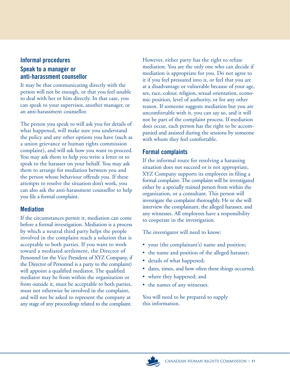# **Informal procedures**

# **Speak to a manager or anti-harassment counsellor**

It may be that communicating directly with the person will not be enough, or that you feel unable to deal with her or him directly. In that case, you can speak to your supervisor, another manager, or an anti-harassment counsellor.

The person you speak to will ask you for details of what happened, will make sure you understand the policy and any other options you have (such as a union grievance or human rights commission complaint), and will ask how you want to proceed. You may ask them to help you write a letter or to speak to the harasser on your behalf. You may ask them to arrange for mediation between you and the person whose behaviour offends you. If these attempts to resolve the situation don't work, you can also ask the anti-harassment counsellor to help you file a formal complaint.

# **Mediation**

If the circumstances permit it, mediation can come before a formal investigation. Mediation is a process by which a neutral third party helps the people involved in the complaint reach a solution that is acceptable to both parties. If you want to work toward a mediated settlement, the Director of Personnel (or the Vice President of XYZ Company, if the Director of Personnel is a party to the complaint) will appoint a qualified mediator. The qualified mediator may be from within the organization or from outside it, must be acceptable to both parties, must not otherwise be involved in the complaint, and will not be asked to represent the company at any stage of any proceedings related to the complaint.

However, either party has the right to refuse mediation. You are the only one who can decide if mediation is appropriate for you. Do not agree to it if you feel pressured into it, or feel that you are at a disadvantage or vulnerable because of your age, sex, race, colour, religion, sexual orientation, economic position, level of authority, or for any other reason. If someone suggests mediation but you are uncomfortable with it, you can say so, and it will not be part of the complaint process. If mediation does occur, each person has the right to be accompanied and assisted during the sessions by someone with whom they feel comfortable.

# **Formal complaints**

If the informal route for resolving a harassing situation does not succeed or is not appropriate, XYZ Company supports its employees in filing a formal complaint. The complaint will be investigated either by a specially trained person from within the organization, or a consultant. This person will investigate the complaint thoroughly. He or she will interview the complainant, the alleged harasser, and any witnesses. All employees have a responsibility to cooperate in the investigation.

The investigator will need to know:

- your (the complainant's) name and position;
- the name and position of the alleged harasser;
- details of what happened;
- dates, times, and how often these things occurred;
- where they happened; and
- the names of any witnesses.

You will need to be prepared to supply this information.

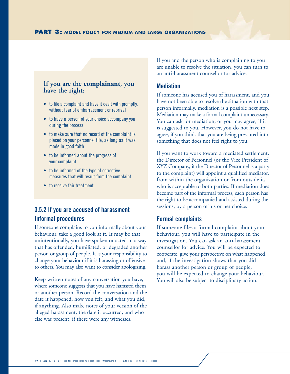# **If you are the complainant, you have the right:**

- to file a complaint and have it dealt with promptly, without fear of embarrassment or reprisal
- to have a person of your choice accompany you during the process
- to make sure that no record of the complaint is placed on your personnel file, as long as it was made in good faith
- to be informed about the progress of your complaint
- to be informed of the type of corrective measures that will result from the complaint
- to receive fair treatment

## **3.5.2 If you are accused of harassment Informal procedures**

If someone complains to you informally about your behaviour, take a good look at it. It may be that, unintentionally, you have spoken or acted in a way that has offended, humiliated, or degraded another person or group of people. It is your responsibility to change your behaviour if it is harassing or offensive to others. You may also want to consider apologizing.

Keep written notes of any conversation you have, where someone suggests that you have harassed them or another person. Record the conversation and the date it happened, how you felt, and what you did, if anything. Also make notes of your version of the alleged harassment, the date it occurred, and who else was present, if there were any witnesses.

If you and the person who is complaining to you are unable to resolve the situation, you can turn to an anti-harassment counsellor for advice.

#### **Mediation**

If someone has accused you of harassment, and you have not been able to resolve the situation with that person informally, mediation is a possible next step. Mediation may make a formal complaint unnecessary. You can ask for mediation; or you may agree, if it is suggested to you. However, you do not have to agree, if you think that you are being pressured into something that does not feel right to you.

If you want to work toward a mediated settlement, the Director of Personnel (or the Vice President of XYZ Company, if the Director of Personnel is a party to the complaint) will appoint a qualified mediator, from within the organization or from outside it, who is acceptable to both parties. If mediation does become part of the informal process, each person has the right to be accompanied and assisted during the sessions, by a person of his or her choice.

#### **Formal complaints**

If someone files a formal complaint about your behaviour, you will have to participate in the investigation. You can ask an anti-harassment counsellor for advice. You will be expected to cooperate, give your perspective on what happened, and, if the investigation shows that you did harass another person or group of people, you will be expected to change your behaviour. You will also be subject to disciplinary action.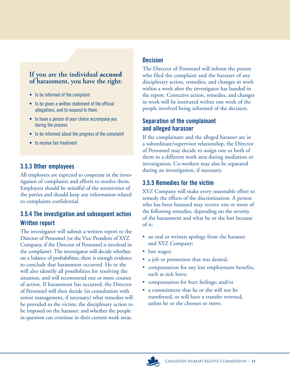# **If you are the individual accused of harassment, you have the right:**

- to be informed of the complaint
- to be given a written statement of the official allegations, and to respond to them
- to have a person of your choice accompany you during the process
- to be informed about the progress of the complaint
- to receive fair treatment

# **3.5.3 Other employees**

All employees are expected to cooperate in the investigation of complaints and efforts to resolve them. Employees should be mindful of the sensitivities of the parties and should keep any information related to complaints confidential.

# **3.5.4 The investigation and subsequent action Written report**

The investigator will submit a written report to the Director of Personnel (or the Vice President of XYZ Company, if the Director of Personnel is involved in the complaint). The investigator will decide whether, on a balance of probabilities, there is enough evidence to conclude that harassment occurred. He or she will also identify all possibilities for resolving the situation, and will recommend one or more courses of action. If harassment has occurred, the Director of Personnel will then decide (in consultation with senior management, if necessary) what remedies will be provided to the victim; the disciplinary action to be imposed on the harasser; and whether the people in question can continue in their current work areas.

# **Decision**

The Director of Personnel will inform the person who filed the complaint and the harasser of any disciplinary action, remedies, and changes in work within a week after the investigator has handed in the report. Corrective action, remedies, and changes in work will be instituted within one week of the people involved being informed of the decision.

# **Separation of the complainant and alleged harasser**

If the complainant and the alleged harasser are in a subordinate/supervisor relationship, the Director of Personnel may decide to assign one or both of them to a different work area during mediation or investigation. Co-workers may also be separated during an investigation, if necessary.

# **3.5.5 Remedies for the victim**

XYZ Company will make every reasonable effort to remedy the effects of the discrimination. A person who has been harassed may receive one or more of the following remedies, depending on the severity of the harassment and what he or she lost because of it:

- an oral or written apology from the harasser and XYZ Company;
- lost wages;
- a job or promotion that was denied;
- compensation for any lost employment benefits, such as sick leave;
- compensation for hurt feelings; and/or
- a commitment that he or she will not be transferred, or will have a transfer reversed, unless he or she chooses to move.

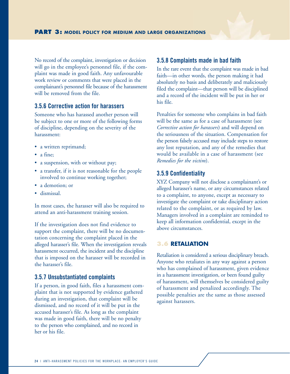No record of the complaint, investigation or decision will go in the employee's personnel file, if the complaint was made in good faith. Any unfavourable work review or comments that were placed in the complainant's personnel file because of the harassment will be removed from the file.

## **3.5.6 Corrective action for harassers**

Someone who has harassed another person will be subject to one or more of the following forms of discipline, depending on the severity of the harassment:

- a written reprimand;
- a fine;
- a suspension, with or without pay;
- a transfer, if it is not reasonable for the people involved to continue working together;
- a demotion; or
- dismissal.

In most cases, the harasser will also be required to attend an anti-harassment training session.

If the investigation does not find evidence to support the complaint, there will be no documentation concerning the complaint placed in the alleged harasser's file. When the investigation reveals harassment occurred, the incident and the discipline that is imposed on the harasser will be recorded in the harasser's file.

#### **3.5.7 Unsubstantiated complaints**

If a person, in good faith, files a harassment complaint that is not supported by evidence gathered during an investigation, that complaint will be dismissed, and no record of it will be put in the accused harasser's file. As long as the complaint was made in good faith, there will be no penalty to the person who complained, and no record in her or his file.

#### **3.5.8 Complaints made in bad faith**

In the rare event that the complaint was made in bad faith—in other words, the person making it had absolutely no basis and deliberately and maliciously filed the complaint—that person will be disciplined and a record of the incident will be put in her or his file.

Penalties for someone who complains in bad faith will be the same as for a case of harassment (see *Corrective action for harassers*) and will depend on the seriousness of the situation. Compensation for the person falsely accused may include steps to restore any lost reputation, and any of the remedies that would be available in a case of harassment (see *Remedies for the victim*).

#### **3.5.9 Confidentiality**

XYZ Company will not disclose a complainant's or alleged harasser's name, or any circumstances related to a complaint, to anyone, except as necessary to investigate the complaint or take disciplinary action related to the complaint, or as required by law. Managers involved in a complaint are reminded to keep all information confidential, except in the above circumstances.

#### **3.6 RETALIATION**

Retaliation is considered a serious disciplinary breach. Anyone who retaliates in any way against a person who has complained of harassment, given evidence in a harassment investigation, or been found guilty of harassment, will themselves be considered guilty of harassment and penalized accordingly. The possible penalties are the same as those assessed against harassers.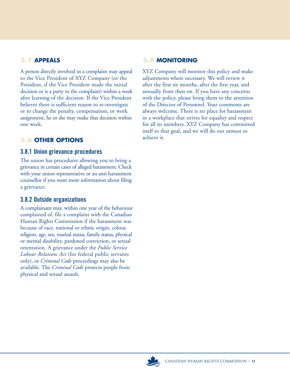# **3.7 APPEALS**

A person directly involved in a complaint may appeal to the Vice President of XYZ Company (or the President, if the Vice President made the initial decision or is a party to the complaint) within a week after learning of the decision. If the Vice President believes there is sufficient reason to re-investigate or to change the penalty, compensation, or work assignment, he or she may make that decision within one week.

# **3.8 OTHER OPTIONS**

## **3.8.1 Union grievance procedures**

The union has procedures allowing you to bring a grievance in certain cases of alleged harassment. Check with your union representative or an anti-harassment counsellor if you want more information about filing a grievance.

## **3.8.2 Outside organizations**

A complainant may, within one year of the behaviour complained of, file a complaint with the Canadian Human Rights Commission if the harassment was because of race, national or ethnic origin, colour, religion, age, sex, marital status, family status, physical or mental disability, pardoned conviction, or sexual orientation. A grievance under the *Public Service Labour Relations Act* (for federal public servants only), or *Criminal Code* proceedings may also be available. The *Criminal Code* protects people from physical and sexual assault.

## **3.9 MONITORING**

XYZ Company will monitor this policy and make adjustments where necessary. We will review it after the first six months, after the first year, and annually from then on. If you have any concerns with the policy, please bring them to the attention of the Director of Personnel. Your comments are always welcome. There is no place for harassment in a workplace that strives for equality and respect for all its members. XYZ Company has committed itself to that goal, and we will do our utmost to achieve it.

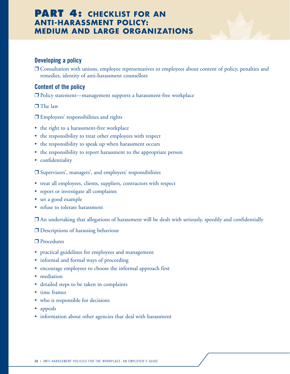# **PART 4: CHECKLIST FOR AN ANTI-HARASSMENT POLICY: MEDIUM AND LARGE ORGANIZATIONS**

## **Developing a policy**

❒ Consultation with unions, employee representatives or employees about content of policy, penalties and remedies, identity of anti-harassment counsellors

### **Content of the policy**

❒ Policy statement—management supports a harassment-free workplace

❒ The law

- ❒ Employees' responsibilities and rights
- the right to a harassment-free workplace
- the responsibility to treat other employees with respect
- the responsibility to speak up when harassment occurs
- the responsibility to report harassment to the appropriate person
- confidentiality

❒ Supervisors', managers', and employers' responsibilities

- treat all employees, clients, suppliers, contractors with respect
- report or investigate all complaints
- set a good example
- refuse to tolerate harassment

❒ An undertaking that allegations of harassment will be dealt with seriously, speedily and confidentially

❒ Descriptions of harassing behaviour

❒ Procedures

- practical guidelines for employees and management
- informal and formal ways of proceeding
- encourage employees to choose the informal approach first
- mediation
- detailed steps to be taken in complaints
- time frames
- who is responsible for decisions
- appeals
- information about other agencies that deal with harassment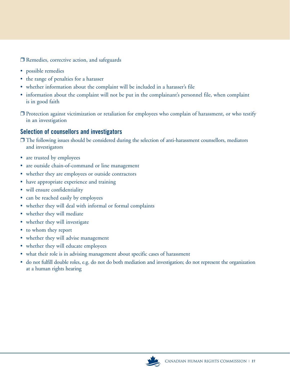❒ Remedies, corrective action, and safeguards

- possible remedies
- the range of penalties for a harasser
- whether information about the complaint will be included in a harasser's file
- information about the complaint will not be put in the complainant's personnel file, when complaint is in good faith
- ❒ Protection against victimization or retaliation for employees who complain of harassment, or who testify in an investigation

# **Selection of counsellors and investigators**

- ❒ The following issues should be considered during the selection of anti-harassment counsellors, mediators and investigators
- are trusted by employees
- are outside chain-of-command or line management
- whether they are employees or outside contractors
- have appropriate experience and training
- will ensure confidentiality
- can be reached easily by employees
- whether they will deal with informal or formal complaints
- whether they will mediate
- whether they will investigate
- to whom they report
- whether they will advise management
- whether they will educate employees
- what their role is in advising management about specific cases of harassment
- do not fulfill double roles, e.g. do not do both mediation and investigation; do not represent the organization at a human rights hearing

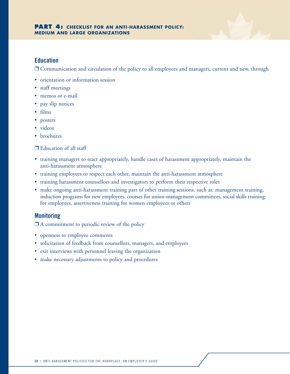

#### **Education**

❒ Communication and circulation of the policy to all employees and managers, current and new, through

- orientation or information session
- staff meetings
- memos or e-mail
- pay slip notices
- films
- posters
- videos
- brochures

#### ❒ Education of all staff

- training managers to react appropriately, handle cases of harassment appropriately, maintain the anti-harassment atmosphere
- training employees to respect each other, maintain the anti-harassment atmosphere
- training harassment counsellors and investigators to perform their respective roles
- make ongoing anti-harassment training part of other training sessions, such as: management training, induction programs for new employees, courses for union-management committees, social skills training for employees, assertiveness training for women employees or others

#### **Monitoring**

 $\Box$  A commitment to periodic review of the policy

- openness to employee comments
- solicitation of feedback from counsellors, managers, and employees
- exit interviews with personnel leaving the organization
- make necessary adjustments to policy and procedures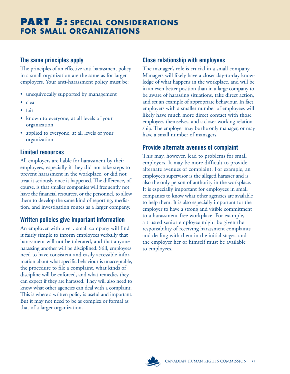# **The same principles apply**

The principles of an effective anti-harassment policy in a small organization are the same as for larger employers. Your anti-harassment policy must be:

- unequivocally supported by management
- clear
- fair
- known to everyone, at all levels of your organization
- applied to everyone, at all levels of your organization

# **Limited resources**

All employers are liable for harassment by their employees, especially if they did not take steps to prevent harassment in the workplace, or did not treat it seriously once it happened. The difference, of course, is that smaller companies will frequently not have the financial resources, or the personnel, to allow them to develop the same kind of reporting, mediation, and investigation routes as a larger company.

# **Written policies give important information**

An employer with a very small company will find it fairly simple to inform employees verbally that harassment will not be tolerated, and that anyone harassing another will be disciplined. Still, employees need to have consistent and easily accessible information about what specific behaviour is unacceptable, the procedure to file a complaint, what kinds of discipline will be enforced, and what remedies they can expect if they are harassed. They will also need to know what other agencies can deal with a complaint. This is where a written policy is useful and important. But it may not need to be as complex or formal as that of a larger organization.

# **Close relationship with employees**

The manager's role is crucial in a small company. Managers will likely have a closer day-to-day knowledge of what happens in the workplace, and will be in an even better position than in a large company to be aware of harassing situations, take direct action, and set an example of appropriate behaviour. In fact, employers with a smaller number of employees will likely have much more direct contact with those employees themselves, and a closer working relationship. The employer may be the only manager, or may have a small number of managers.

# **Provide alternate avenues of complaint**

This may, however, lead to problems for small employers. It may be more difficult to provide alternate avenues of complaint. For example, an employee's supervisor is the alleged harasser and is also the only person of authority in the workplace. It is especially important for employees in small companies to know what other agencies are available to help them. It is also especially important for the employer to have a strong and visible commitment to a harassment-free workplace. For example, a trusted senior employee might be given the responsibility of receiving harassment complaints and dealing with them in the initial stages, and the employer her or himself must be available to employees.

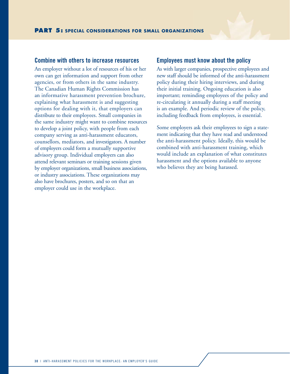#### **Combine with others to increase resources**

An employer without a lot of resources of his or her own can get information and support from other agencies, or from others in the same industry. The Canadian Human Rights Commission has an informative harassment prevention brochure, explaining what harassment is and suggesting options for dealing with it, that employers can distribute to their employees. Small companies in the same industry might want to combine resources to develop a joint policy, with people from each company serving as anti-harassment educators, counsellors, mediators, and investigators. A number of employers could form a mutually supportive advisory group. Individual employers can also attend relevant seminars or training sessions given by employer organizations, small business associations, or industry associations. These organizations may also have brochures, posters, and so on that an employer could use in the workplace.

#### **Employees must know about the policy**

As with larger companies, prospective employees and new staff should be informed of the anti-harassment policy during their hiring interviews, and during their initial training. Ongoing education is also important; reminding employees of the policy and re-circulating it annually during a staff meeting is an example. And periodic review of the policy, including feedback from employees, is essential.

Some employers ask their employees to sign a statement indicating that they have read and understood the anti-harassment policy. Ideally, this would be combined with anti-harassment training, which would include an explanation of what constitutes harassment and the options available to anyone who believes they are being harassed.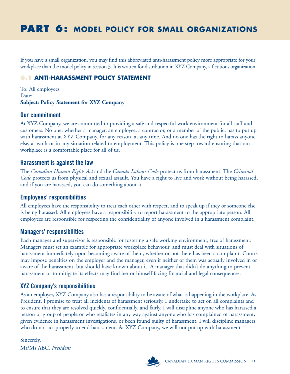# **PART 6: MODEL POLICY FOR SMALL ORGANIZATIONS**

If you have a small organization, you may find this abbreviated anti-harassment policy more appropriate for your workplace than the model policy in section 3. It is written for distribution in XYZ Company, a fictitious organization.

# **6.1 ANTI-HARASSMENT POLICY STATEMENT**

To: All employees Date: **Subject: Policy Statement for XYZ Company** 

#### **Our commitment**

At XYZ Company, we are committed to providing a safe and respectful work environment for all staff and customers. No one, whether a manager, an employee, a contractor, or a member of the public, has to put up with harassment at XYZ Company, for any reason, at any time. And no one has the right to harass anyone else, at work or in any situation related to employment. This policy is one step toward ensuring that our workplace is a comfortable place for all of us.

## **Harassment is against the law**

The *Canadian Human Rights Act* and the *Canada Labour Code* protect us from harassment. The *Criminal Code* protects us from physical and sexual assault. You have a right to live and work without being harassed, and if you are harassed, you can do something about it.

## **Employees' responsibilities**

All employees have the responsibility to treat each other with respect, and to speak up if they or someone else is being harassed. All employees have a responsibility to report harassment to the appropriate person. All employees are responsible for respecting the confidentiality of anyone involved in a harassment complaint.

### **Managers' responsibilities**

Each manager and supervisor is responsible for fostering a safe working environment, free of harassment. Managers must set an example for appropriate workplace behaviour, and must deal with situations of harassment immediately upon becoming aware of them, whether or not there has been a complaint. Courts may impose penalties on the employer and the manager, even if neither of them was actually involved in or aware of the harassment, but should have known about it. A manager that didn't do anything to prevent harassment or to mitigate its effects may find her or himself facing financial and legal consequences.

## **XYZ Company's responsibilities**

As an employer, XYZ Company also has a responsibility to be aware of what is happening in the workplace. As President, I promise to treat all incidents of harassment seriously. I undertake to act on all complaints and to ensure that they are resolved quickly, confidentially, and fairly. I will discipline anyone who has harassed a person or group of people or who retaliates in any way against anyone who has complained of harassment, given evidence in harassment investigations, or been found guilty of harassment. I will discipline managers who do not act properly to end harassment. At XYZ Company, we will not put up with harassment.

Sincerely, Mr/Ms ABC, *President*

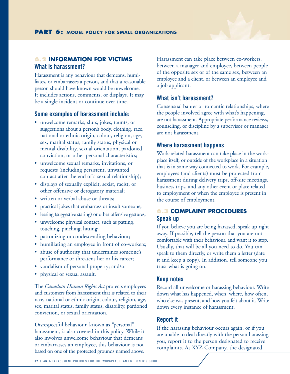#### **6.2 INFORMATION FOR VICTIMS What is harassment?**

Harassment is any behaviour that demeans, humiliates, or embarrasses a person, and that a reasonable person should have known would be unwelcome. It includes actions, comments, or displays. It may be a single incident or continue over time.

#### **Some examples of harassment include:**

- unwelcome remarks, slurs, jokes, taunts, or suggestions about a person's body, clothing, race, national or ethnic origin, colour, religion, age, sex, marital status, family status, physical or mental disability, sexual orientation, pardoned conviction, or other personal characteristics;
- unwelcome sexual remarks, invitations, or requests (including persistent, unwanted contact after the end of a sexual relationship);
- displays of sexually explicit, sexist, racist, or other offensive or derogatory material;
- written or verbal abuse or threats:
- practical jokes that embarrass or insult someone;
- leering (suggestive staring) or other offensive gestures;
- unwelcome physical contact, such as patting, touching, pinching, hitting;
- patronizing or condescending behaviour;
- humiliating an employee in front of co-workers;
- abuse of authority that undermines someone's performance or threatens her or his career;
- vandalism of personal property; and/or
- physical or sexual assault.

The *Canadian Human Rights Act* protects employees and customers from harassment that is related to their race, national or ethnic origin, colour, religion, age, sex, marital status, family status, disability, pardoned conviction, or sexual orientation.

Disrespectful behaviour, known as "personal" harassment, is also covered in this policy. While it also involves unwelcome behaviour that demeans or embarrasses an employee, this behaviour is not based on one of the protected grounds named above.

Harassment can take place between co-workers, between a manager and employee, between people of the opposite sex or of the same sex, between an employee and a client, or between an employee and a job applicant.

#### **What isn't harassment?**

Consensual banter or romantic relationships, where the people involved agree with what's happening, are not harassment. Appropriate performance reviews, counseling, or discipline by a supervisor or manager are not harassment.

#### **Where harassment happens**

Work-related harassment can take place in the workplace itself, or outside of the workplace in a situation that is in some way connected to work. For example, employees (and clients) must be protected from harassment during delivery trips, off-site meetings, business trips, and any other event or place related to employment or when the employee is present in the course of employment.

# **6.3 COMPLAINT PROCEDURES Speak up**

If you believe you are being harassed, speak up right away. If possible, tell the person that you are not comfortable with their behaviour, and want it to stop. Usually, that will be all you need to do. You can speak to them directly, or write them a letter (date it and keep a copy). In addition, tell someone you trust what is going on.

#### **Keep notes**

Record all unwelcome or harassing behaviour. Write down what has happened, when, where, how often, who else was present, and how you felt about it. Write down every instance of harassment.

#### **Report it**

If the harassing behaviour occurs again, or if you are unable to deal directly with the person harassing you, report it to the person designated to receive complaints. At XYZ Company, the designated

**3 2** | ANTI-HARASSMENT POLICIES FOR THE WORKPLACE: AN EMPLOYER'S GUIDE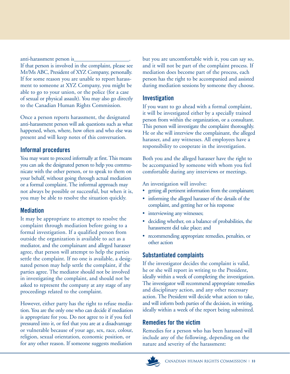anti-harassment person is\_ If that person is involved in the complaint, please see Mr/Ms ABC, President of XYZ Company, personally. If for some reason you are unable to report harassment to someone at XYZ Company, you might be able to go to your union, or the police (for a case of sexual or physical assault). You may also go directly to the Canadian Human Rights Commission.

Once a person reports harassment, the designated anti-harassment person will ask questions such as what happened, when, where, how often and who else was present and will keep notes of this conversation.

# **Informal procedures**

You may want to proceed informally at first. This means you can ask the designated person to help you communicate with the other person, or to speak to them on your behalf, without going through actual mediation or a formal complaint. The informal approach may not always be possible or successful, but when it is, you may be able to resolve the situation quickly.

# **Mediation**

It may be appropriate to attempt to resolve the complaint through mediation before going to a formal investigation. If a qualified person from outside the organization is available to act as a mediator, and the complainant and alleged harasser agree, that person will attempt to help the parties settle the complaint. If no one is available, a designated person may help settle the complaint, if the parties agree. The mediator should not be involved in investigating the complaint, and should not be asked to represent the company at any stage of any proceedings related to the complaint.

However, either party has the right to refuse mediation. You are the only one who can decide if mediation is appropriate for you. Do not agree to it if you feel pressured into it, or feel that you are at a disadvantage or vulnerable because of your age, sex, race, colour, religion, sexual orientation, economic position, or for any other reason. If someone suggests mediation

but you are uncomfortable with it, you can say so, and it will not be part of the complaint process. If mediation does become part of the process, each person has the right to be accompanied and assisted during mediation sessions by someone they choose.

# **Investigation**

If you want to go ahead with a formal complaint, it will be investigated either by a specially trained person from within the organization, or a consultant. This person will investigate the complaint thoroughly. He or she will interview the complainant, the alleged harasser, and any witnesses. All employees have a responsibility to cooperate in the investigation.

Both you and the alleged harasser have the right to be accompanied by someone with whom you feel comfortable during any interviews or meetings.

An investigation will involve:

- getting all pertinent information from the complainant;
- informing the alleged harasser of the details of the complaint, and getting her or his response
- interviewing any witnesses;
- deciding whether, on a balance of probabilities, the harassment did take place; and
- recommending appropriate remedies, penalties, or other action

# **Substantiated complaints**

If the investigator decides the complaint is valid, he or she will report in writing to the President, ideally within a week of completing the investigation. The investigator will recommend appropriate remedies and disciplinary action, and any other necessary action. The President will decide what action to take, and will inform both parties of the decision, in writing, ideally within a week of the report being submitted.

# **Remedies for the victim**

Remedies for a person who has been harassed will include any of the following, depending on the nature and severity of the harassment:

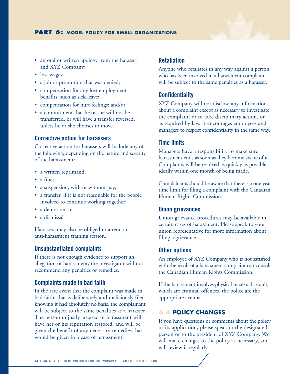

- lost wages;
- a job or promotion that was denied;
- compensation for any lost employment benefits, such as sick leave;
- compensation for hurt feelings; and/or
- a commitment that he or she will not be transferred, or will have a transfer reversed, unless he or she chooses to move.

#### **Corrective action for harassers**

Corrective action for harassers will include any of the following, depending on the nature and severity of the harassment:

- a written reprimand;
- a fine;
- a suspension, with or without pay;
- a transfer, if it is not reasonable for the people involved to continue working together;
- a demotion; or
- a dismissal.

Harassers may also be obliged to attend an anti-harassment training session.

#### **Unsubstantiated complaints**

If there is not enough evidence to support an allegation of harassment, the investigator will not recommend any penalties or remedies.

#### **Complaints made in bad faith**

In the rare event that the complaint was made in bad faith, that is deliberately and maliciously filed knowing it had absolutely no basis, the complainant will be subject to the same penalties as a harasser. The person unjustly accused of harassment will have her or his reputation restored, and will be given the benefit of any necessary remedies that would be given in a case of harassment.

#### **Retaliation**

Anyone who retaliates in any way against a person who has been involved in a harassment complaint will be subject to the same penalties as a harasser.

#### **Confidentiality**

XYZ Company will not disclose any information about a complaint except as necessary to investigate the complaint or to take disciplinary action, or as required by law. It encourages employees and managers to respect confidentiality in the same way.

#### **Time limits**

Managers have a responsibility to make sure harassment ends as soon as they become aware of it. Complaints will be resolved as quickly as possible, ideally within one month of being made.

Complainants should be aware that there is a one-year time limit for filing a complaint with the Canadian Human Rights Commission.

#### **Union grievances**

Union grievance procedures may be available in certain cases of harassment. Please speak to your union representative for more information about filing a grievance.

#### **Other options**

An employee of XYZ Company who is not satisfied with the result of a harassment complaint can consult the Canadian Human Rights Commission.

If the harassment involves physical or sexual assault, which are criminal offences, the police are the appropriate avenue.

#### **6.4 POLICY CHANGES**

If you have questions or comments about the policy or its application, please speak to the designated person or to the president of XYZ Company. We will make changes to the policy as necessary, and will review it regularly.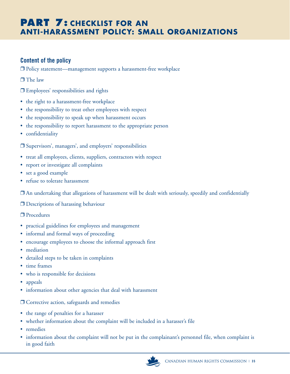# **PART 7: CHECKLIST FOR AN ANTI-HARASSMENT POLICY: SMALL ORGANIZATIONS**

# **Content of the policy**

❒ Policy statement—management supports a harassment-free workplace

❒ The law

❒ Employees' responsibilities and rights

- the right to a harassment-free workplace
- the responsibility to treat other employees with respect
- the responsibility to speak up when harassment occurs
- the responsibility to report harassment to the appropriate person
- confidentiality

❒ Supervisors', managers', and employers' responsibilities

- treat all employees, clients, suppliers, contractors with respect
- report or investigate all complaints
- set a good example
- refuse to tolerate harassment

❒ An undertaking that allegations of harassment will be dealt with seriously, speedily and confidentially

❒ Descriptions of harassing behaviour

❒ Procedures

- practical guidelines for employees and management
- informal and formal ways of proceeding
- encourage employees to choose the informal approach first
- mediation
- detailed steps to be taken in complaints
- time frames
- who is responsible for decisions
- appeals
- information about other agencies that deal with harassment

❒ Corrective action, safeguards and remedies

- the range of penalties for a harasser
- whether information about the complaint will be included in a harasser's file
- remedies
- information about the complaint will not be put in the complainant's personnel file, when complaint is in good faith

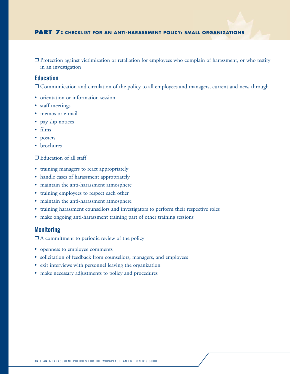❒ Protection against victimization or retaliation for employees who complain of harassment, or who testify in an investigation

#### **Education**

❒ Communication and circulation of the policy to all employees and managers, current and new, through

- orientation or information session
- staff meetings
- memos or e-mail
- pay slip notices
- films
- posters
- brochures

#### ❒ Education of all staff

- training managers to react appropriately
- handle cases of harassment appropriately
- maintain the anti-harassment atmosphere
- training employees to respect each other
- maintain the anti-harassment atmosphere
- training harassment counsellors and investigators to perform their respective roles
- make ongoing anti-harassment training part of other training sessions

#### **Monitoring**

❒ A commitment to periodic review of the policy

- openness to employee comments
- solicitation of feedback from counsellors, managers, and employees
- exit interviews with personnel leaving the organization
- make necessary adjustments to policy and procedures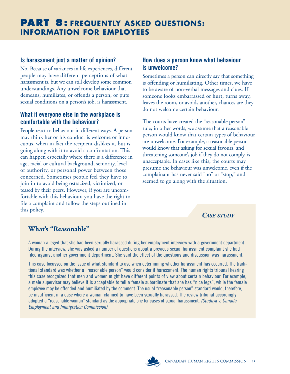# **Is harassment just a matter of opinion?**

No. Because of variances in life experiences, different people may have different perceptions of what harassment is, but we can still develop some common understandings. Any unwelcome behaviour that demeans, humiliates, or offends a person, or puts sexual conditions on a person's job, is harassment.

# **What if everyone else in the workplace is comfortable with the behaviour?**

People react to behaviour in different ways. A person may think her or his conduct is welcome or innocuous, when in fact the recipient dislikes it, but is going along with it to avoid a confrontation. This can happen especially where there is a difference in age, racial or cultural background, seniority, level of authority, or personal power between those concerned. Sometimes people feel they have to join in to avoid being ostracized, victimized, or teased by their peers. However, if you are uncomfortable with this behaviour, you have the right to file a complaint and follow the steps outlined in this policy.

# **How does a person know what behaviour is unwelcome?**

Sometimes a person can directly say that something is offending or humiliating. Other times, we have to be aware of non-verbal messages and clues. If someone looks embarrassed or hurt, turns away, leaves the room, or avoids another, chances are they do not welcome certain behaviour.

The courts have created the "reasonable person" rule; in other words, we assume that a reasonable person would know that certain types of behaviour are unwelcome. For example, a reasonable person would know that asking for sexual favours, and threatening someone's job if they do not comply, is unacceptable. In cases like this, the courts may presume the behaviour was unwelcome, even if the complainant has never said "no" or "stop," and seemed to go along with the situation.

# *CASE STUDY*

# **What's "Reasonable"**

A woman alleged that she had been sexually harassed during her employment interview with a government department. During the interview, she was asked a number of questions about a previous sexual harassment complaint she had filed against another government department. She said the effect of the questions and discussion was harassment.

This case focussed on the issue of what standard to use when determining whether harassment has occurred. The traditional standard was whether a "reasonable person" would consider it harassment. The human rights tribunal hearing this case recognized that men and women might have different points of view about certain behaviour. For example, a male supervisor may believe it is acceptable to tell a female subordinate that she has "nice legs", while the female employee may be offended and humiliated by the comment. The usual "reasonable person" standard would, therefore, be insufficient in a case where a woman claimed to have been sexually harassed. The review tribunal accordingly adopted a "reasonable woman" standard as the appropriate one for cases of sexual harassment. *(Stadnyk v. Canada Employment and Immigration Commission)*

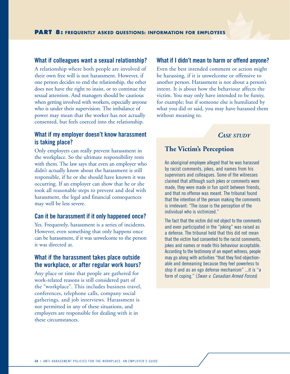#### **What if colleagues want a sexual relationship?**

A relationship where both people are involved of their own free will is not harassment. However, if one person decides to end the relationship, the other does not have the right to insist, or to continue the sexual attention. And managers should be cautious when getting involved with workers, especially anyone who is under their supervision. The imbalance of power may mean that the worker has not actually consented, but feels coerced into the relationship.

## **What if my employer doesn't know harassment is taking place?**

Only employers can really prevent harassment in the workplace. So the ultimate responsibility rests with them. The law says that even an employer who didn't actually know about the harassment is still responsible, if he or she should have known it was occurring. If an employer can show that he or she took all reasonable steps to prevent and deal with harassment, the legal and financial consequences may well be less severe.

#### **Can it be harassment if it only happened once?**

Yes. Frequently, harassment is a series of incidents. However, even something that only happens once can be harassment, if it was unwelcome to the person it was directed at.

#### **What if the harassment takes place outside the workplace, or after regular work hours?**

Any place or time that people are gathered for work-related reasons is still considered part of the "workplace". This includes business travel, conferences, telephone calls, company social gatherings, and job interviews. Harassment is not permitted in any of these situations, and employers are responsible for dealing with it in these circumstances.

#### **What if I didn't mean to harm or offend anyone?**

Even the best intended comment or action might be harassing, if it is unwelcome or offensive to another person. Harassment is not about a person's intent. It is about how the behaviour affects the victim. You may only have intended to be funny, for example; but if someone else is humiliated by what you did or said, you may have harassed them without meaning to.

#### *CASE STUDY*

#### **The Victim's Perception**

An aboriginal employee alleged that he was harassed by racist comments, jokes, and names from his supervisors and colleagues. Some of the witnesses claimed that although such jokes or comments were made, they were made in fun spirit between friends, and that no offense was meant. The tribunal found that the intention of the person making the comments is irrelevant: "The issue is the perception of the individual who is victimized."

The fact that the victim did not object to the comments and even participated in the "joking" was raised as a defense. The tribunal held that this did not mean that the victim had consented to the racist comments, jokes and names or made this behaviour acceptable. According to the testimony of an expert witness, people may go along with activities "that they find objectionable and demeaning because they feel powerless to stop it and as an ego defense mechanism" ...it is "a form of coping." (*Swan v. Canadian Armed Forces*)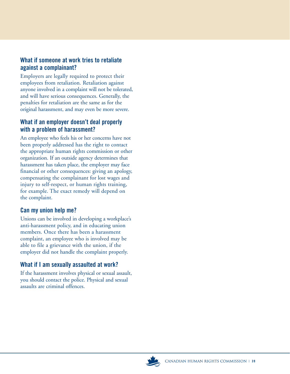# **What if someone at work tries to retaliate against a complainant?**

Employers are legally required to protect their employees from retaliation. Retaliation against anyone involved in a complaint will not be tolerated, and will have serious consequences. Generally, the penalties for retaliation are the same as for the original harassment, and may even be more severe.

# **What if an employer doesn't deal properly with a problem of harassment?**

An employee who feels his or her concerns have not been properly addressed has the right to contact the appropriate human rights commission or other organization. If an outside agency determines that harassment has taken place, the employer may face financial or other consequences: giving an apology, compensating the complainant for lost wages and injury to self-respect, or human rights training, for example. The exact remedy will depend on the complaint.

# **Can my union help me?**

Unions can be involved in developing a workplace's anti-harassment policy, and in educating union members. Once there has been a harassment complaint, an employee who is involved may be able to file a grievance with the union, if the employer did not handle the complaint properly.

# **What if I am sexually assaulted at work?**

If the harassment involves physical or sexual assault, you should contact the police. Physical and sexual assaults are criminal offences.